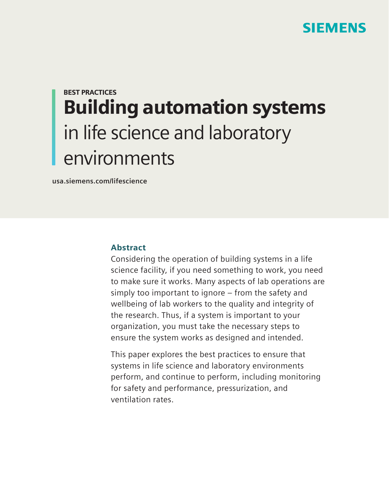

# BEST PRACTICES Building automation systems in life science and laboratory environments

**usa.siemens.com/lifescience**

# Abstract

Considering the operation of building systems in a life science facility, if you need something to work, you need to make sure it works. Many aspects of lab operations are simply too important to ignore – from the safety and wellbeing of lab workers to the quality and integrity of the research. Thus, if a system is important to your organization, you must take the necessary steps to ensure the system works as designed and intended.

This paper explores the best practices to ensure that systems in life science and laboratory environments perform, and continue to perform, including monitoring for safety and performance, pressurization, and ventilation rates.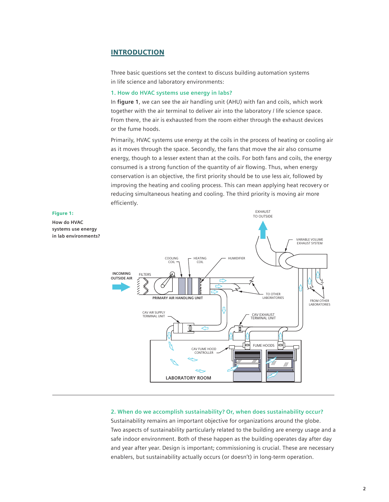### **INTRODUCTION**

Three basic questions set the context to discuss building automation systems in life science and laboratory environments:

#### **1. How do HVAC systems use energy in labs?**

In **figure 1**, we can see the air handling unit (AHU) with fan and coils, which work together with the air terminal to deliver air into the laboratory / life science space. From there, the air is exhausted from the room either through the exhaust devices or the fume hoods.

Primarily, HVAC systems use energy at the coils in the process of heating or cooling air as it moves through the space. Secondly, the fans that move the air also consume energy, though to a lesser extent than at the coils. For both fans and coils, the energy consumed is a strong function of the quantity of air flowing. Thus, when energy conservation is an objective, the first priority should be to use less air, followed by improving the heating and cooling process. This can mean applying heat recovery or reducing simultaneous heating and cooling. The third priority is moving air more efficiently.



#### **2. When do we accomplish sustainability? Or, when does sustainability occur?**

Sustainability remains an important objective for organizations around the globe. Two aspects of sustainability particularly related to the building are energy usage and a safe indoor environment. Both of these happen as the building operates day after day and year after year. Design is important; commissioning is crucial. These are necessary enablers, but sustainability actually occurs (or doesn't) in long-term operation.

# Figure 1: **How do HVAC**

**systems use energy**  in lab environments?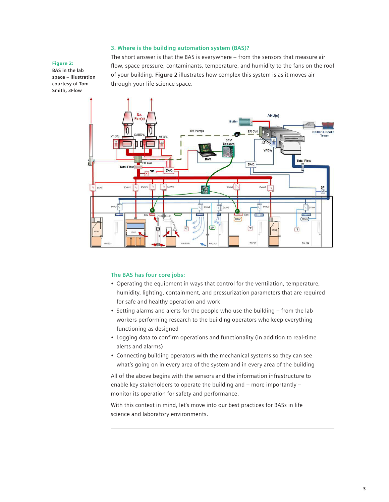#### **3. Where is the building automation system (BAS)?**

#### Figure 2:

**BAS in the lab space – illustration courtesy of Tom Smith, 3Flow**

The short answer is that the BAS is everywhere – from the sensors that measure air flow, space pressure, contaminants, temperature, and humidity to the fans on the roof of your building. **Figure 2** illustrates how complex this system is as it moves air through your life science space.



#### **The BAS has four core jobs:**

- Operating the equipment in ways that control for the ventilation, temperature, humidity, lighting, containment, and pressurization parameters that are required for safe and healthy operation and work
- Setting alarms and alerts for the people who use the building from the lab workers performing research to the building operators who keep everything functioning as designed
- Logging data to confirm operations and functionality (in addition to real-time alerts and alarms)
- Connecting building operators with the mechanical systems so they can see what's going on in every area of the system and in every area of the building

All of the above begins with the sensors and the information infrastructure to enable key stakeholders to operate the building and – more importantly – monitor its operation for safety and performance.

With this context in mind, let's move into our best practices for BASs in life science and laboratory environments.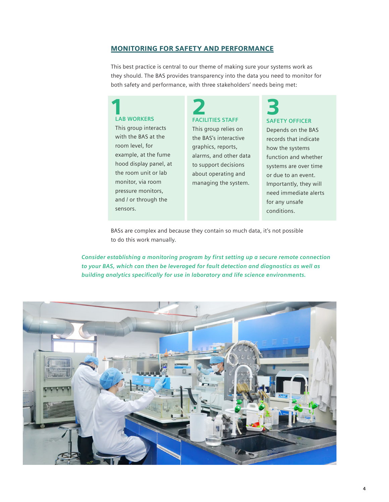#### MONITORING FOR SAFETY AND PERFORMANCE

This best practice is central to our theme of making sure your systems work as they should. The BAS provides transparency into the data you need to monitor for both safety and performance, with three stakeholders' needs being met:

### **LAB WORKERS**

This group interacts with the BAS at the room level, for example, at the fume hood display panel, at the room unit or lab monitor, via room pressure monitors, and / or through the sensors.

# **FACILITIES STAFF** 1 2 3

This group relies on the BAS's interactive graphics, reports, alarms, and other data to support decisions about operating and managing the system.

# **SAFETY OFFICER**

Depends on the BAS records that indicate how the systems function and whether systems are over time or due to an event. Importantly, they will need immediate alerts for any unsafe conditions.

BASs are complex and because they contain so much data, it's not possible to do this work manually.

*Consider establishing a monitoring program by first setting up a secure remote connection to your BAS, which can then be leveraged for fault detection and diagnostics as well as building analytics specifically for use in laboratory and life science environments.*

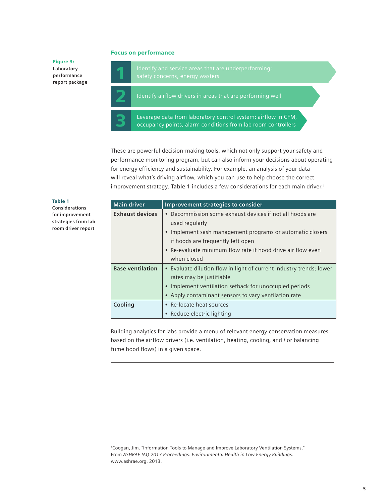#### Focus on performance

Figure 3: **Laboratory performance report package**

2 Identify airflow drivers in areas that are performing well

3 Leverage data from laboratory control system: airflow in CFM, occupancy points, alarm conditions from lab room controllers

These are powerful decision-making tools, which not only support your safety and performance monitoring program, but can also inform your decisions about operating for energy efficiency and sustainability. For example, an analysis of your data will reveal what's driving airflow, which you can use to help choose the correct improvement strategy. **Table 1** includes a few considerations for each main driver.1

#### Table 1

**Considerations for improvement strategies from lab room driver report**

| <b>Main driver</b>      | Improvement strategies to consider                                  |
|-------------------------|---------------------------------------------------------------------|
| <b>Exhaust devices</b>  | • Decommission some exhaust devices if not all hoods are            |
|                         | used regularly                                                      |
|                         | • Implement sash management programs or automatic closers           |
|                         | if hoods are frequently left open                                   |
|                         | • Re-evaluate minimum flow rate if hood drive air flow even         |
|                         | when closed                                                         |
| <b>Base ventilation</b> | • Evaluate dilution flow in light of current industry trends; lower |
|                         | rates may be justifiable                                            |
|                         | • Implement ventilation setback for unoccupied periods              |
|                         | • Apply contaminant sensors to vary ventilation rate                |
| Cooling                 | • Re-locate heat sources                                            |
|                         | • Reduce electric lighting                                          |

Building analytics for labs provide a menu of relevant energy conservation measures based on the airflow drivers (i.e. ventilation, heating, cooling, and / or balancing fume hood flows) in a given space.

1Coogan, Jim. "Information Tools to Manage and Improve Laboratory Ventilation Systems." From *ASHRAE IAQ 2013 Proceedings: Environmental Health in Low Energy Buildings.*  www.ashrae.org. 2013.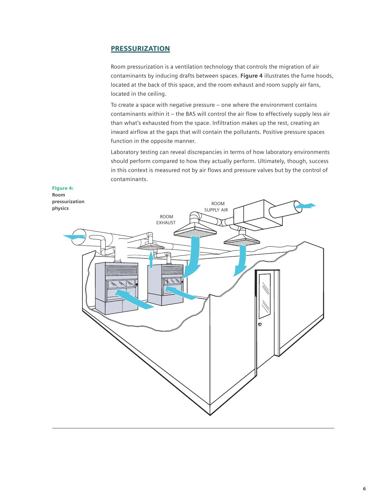### **PRESSURIZATION**

Room pressurization is a ventilation technology that controls the migration of air contaminants by inducing drafts between spaces. **Figure 4** illustrates the fume hoods, located at the back of this space, and the room exhaust and room supply air fans, located in the ceiling.

To create a space with negative pressure – one where the environment contains contaminants within it – the BAS will control the air flow to effectively supply less air than what's exhausted from the space. Infiltration makes up the rest, creating an inward airflow at the gaps that will contain the pollutants. Positive pressure spaces function in the opposite manner.

Laboratory testing can reveal discrepancies in terms of how laboratory environments should perform compared to how they actually perform. Ultimately, though, success in this context is measured not by air flows and pressure valves but by the control of contaminants.





**physics**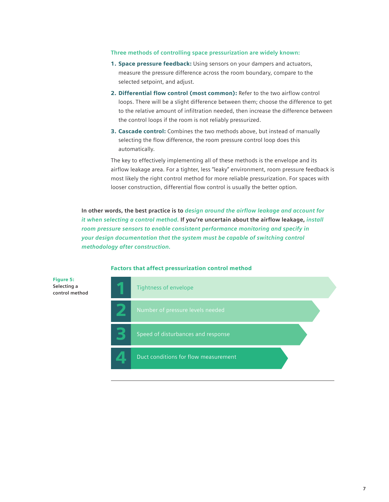#### **Three methods of controlling space pressurization are widely known:**

- 1. Space pressure feedback: Using sensors on your dampers and actuators, measure the pressure difference across the room boundary, compare to the selected setpoint, and adjust.
- 2. Differential flow control (most common): Refer to the two airflow control loops. There will be a slight difference between them; choose the difference to get to the relative amount of infiltration needed, then increase the difference between the control loops if the room is not reliably pressurized.
- 3. Cascade control: Combines the two methods above, but instead of manually selecting the flow difference, the room pressure control loop does this automatically.

The key to effectively implementing all of these methods is the envelope and its airflow leakage area. For a tighter, less "leaky" environment, room pressure feedback is most likely the right control method for more reliable pressurization. For spaces with looser construction, differential flow control is usually the better option.

**In other words, the best practice is to** *design around the airflow leakage and account for it when selecting a control method.* **If you're uncertain about the airflow leakage,** *install room pressure sensors to enable consistent performance monitoring and specify in your design documentation that the system must be capable of switching control methodology after construction.*



#### Factors that affect pressurization control method

Figure 5: **Selecting a control method**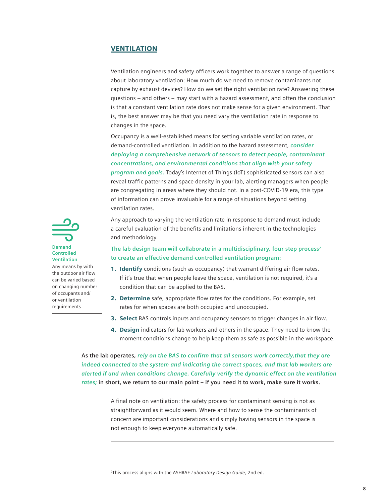#### VENTILATION

Ventilation engineers and safety officers work together to answer a range of questions about laboratory ventilation: How much do we need to remove contaminants not capture by exhaust devices? How do we set the right ventilation rate? Answering these questions – and others – may start with a hazard assessment, and often the conclusion is that a constant ventilation rate does not make sense for a given environment. That is, the best answer may be that you need vary the ventilation rate in response to changes in the space.

Occupancy is a well-established means for setting variable ventilation rates, or demand-controlled ventilation. In addition to the hazard assessment, *consider deploying a comprehensive network of sensors to detect people, contaminant concentrations, and environmental conditions that align with your safety program and goals.* Today's Internet of Things (IoT) sophisticated sensors can also reveal traffic patterns and space density in your lab, alerting managers when people are congregating in areas where they should not. In a post-COVID-19 era, this type of information can prove invaluable for a range of situations beyond setting ventilation rates.

Any approach to varying the ventilation rate in response to demand must include a careful evaluation of the benefits and limitations inherent in the technologies and methodology.

### **The lab design team will collaborate in a multidisciplinary, four-step process2 to create an effective demand-controlled ventilation program:**

- 1. Identify conditions (such as occupancy) that warrant differing air flow rates. If it's true that when people leave the space, ventilation is not required, it's a condition that can be applied to the BAS.
- 2. Determine safe, appropriate flow rates for the conditions. For example, set rates for when spaces are both occupied and unoccupied.
- 3. Select BAS controls inputs and occupancy sensors to trigger changes in air flow.
- 4. Design indicators for lab workers and others in the space. They need to know the moment conditions change to help keep them as safe as possible in the workspace.

**As the lab operates,** *rely on the BAS to confirm that all sensors work correctly,that they are indeed connected to the system and indicating the correct spaces, and that lab workers are alerted if and when conditions change. Carefully verify the dynamic effect on the ventilation rates;* **in short, we return to our main point – if you need it to work, make sure it works.**

> A final note on ventilation: the safety process for contaminant sensing is not as straightforward as it would seem. Where and how to sense the contaminants of concern are important considerations and simply having sensors in the space is not enough to keep everyone automatically safe.



**Controlled Ventilation**

Any means by with the outdoor air flow can be varied based on changing number of occupants and/ or ventilation requirements